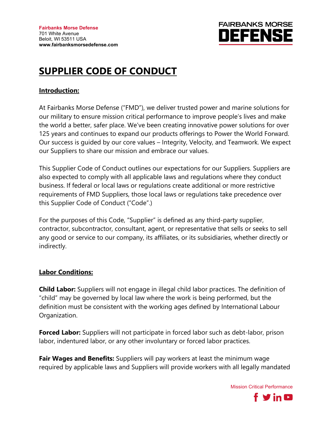

# **SUPPLIER CODE OF CONDUCT**

## **Introduction:**

At Fairbanks Morse Defense ("FMD"), we deliver trusted power and marine solutions for our military to ensure mission critical performance to improve people's lives and make the world a better, safer place. We've been creating innovative power solutions for over 125 years and continues to expand our products offerings to Power the World Forward. Our success is guided by our core values – Integrity, Velocity, and Teamwork. We expect our Suppliers to share our mission and embrace our values.

This Supplier Code of Conduct outlines our expectations for our Suppliers. Suppliers are also expected to comply with all applicable laws and regulations where they conduct business. If federal or local laws or regulations create additional or more restrictive requirements of FMD Suppliers, those local laws or regulations take precedence over this Supplier Code of Conduct ("Code".)

For the purposes of this Code, "Supplier" is defined as any third-party supplier, contractor, subcontractor, consultant, agent, or representative that sells or seeks to sell any good or service to our company, its affiliates, or its subsidiaries, whether directly or indirectly.

## **Labor Conditions:**

**Child Labor:** Suppliers will not engage in illegal child labor practices. The definition of "child" may be governed by local law where the work is being performed, but the definition must be consistent with the working ages defined by International Labour Organization.

**Forced Labor:** Suppliers will not participate in forced labor such as debt-labor, prison labor, indentured labor, or any other involuntary or forced labor practices.

**Fair Wages and Benefits:** Suppliers will pay workers at least the minimum wage required by applicable laws and Suppliers will provide workers with all legally mandated

Mission Critical Performance

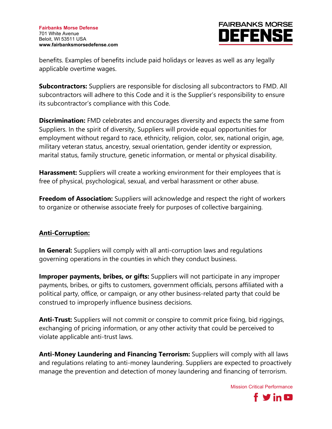

benefits. Examples of benefits include paid holidays or leaves as well as any legally applicable overtime wages.

**Subcontractors:** Suppliers are responsible for disclosing all subcontractors to FMD. All subcontractors will adhere to this Code and it is the Supplier's responsibility to ensure its subcontractor's compliance with this Code.

**Discrimination:** FMD celebrates and encourages diversity and expects the same from Suppliers. In the spirit of diversity, Suppliers will provide equal opportunities for employment without regard to race, ethnicity, religion, color, sex, national origin, age, military veteran status, ancestry, sexual orientation, gender identity or expression, marital status, family structure, genetic information, or mental or physical disability.

**Harassment:** Suppliers will create a working environment for their employees that is free of physical, psychological, sexual, and verbal harassment or other abuse.

**Freedom of Association:** Suppliers will acknowledge and respect the right of workers to organize or otherwise associate freely for purposes of collective bargaining.

## **Anti-Corruption:**

**In General:** Suppliers will comply with all anti-corruption laws and regulations governing operations in the counties in which they conduct business.

**Improper payments, bribes, or gifts:** Suppliers will not participate in any improper payments, bribes, or gifts to customers, government officials, persons affiliated with a political party, office, or campaign, or any other business-related party that could be construed to improperly influence business decisions.

**Anti-Trust:** Suppliers will not commit or conspire to commit price fixing, bid riggings, exchanging of pricing information, or any other activity that could be perceived to violate applicable anti-trust laws.

**Anti-Money Laundering and Financing Terrorism:** Suppliers will comply with all laws and regulations relating to anti-money laundering. Suppliers are expected to proactively manage the prevention and detection of money laundering and financing of terrorism.

Mission Critical Performance

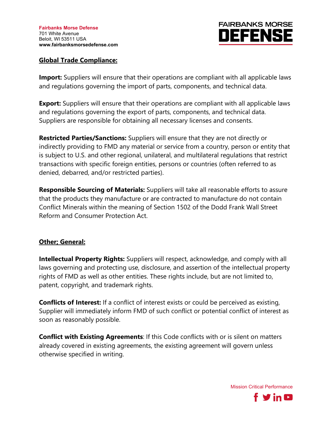## **FAIRBANKS MORSE DEFENS**

## **Global Trade Compliance:**

**Import:** Suppliers will ensure that their operations are compliant with all applicable laws and regulations governing the import of parts, components, and technical data.

**Export:** Suppliers will ensure that their operations are compliant with all applicable laws and regulations governing the export of parts, components, and technical data. Suppliers are responsible for obtaining all necessary licenses and consents.

**Restricted Parties/Sanctions:** Suppliers will ensure that they are not directly or indirectly providing to FMD any material or service from a country, person or entity that is subject to U.S. and other regional, unilateral, and multilateral regulations that restrict transactions with specific foreign entities, persons or countries (often referred to as denied, debarred, and/or restricted parties).

**Responsible Sourcing of Materials:** Suppliers will take all reasonable efforts to assure that the products they manufacture or are contracted to manufacture do not contain Conflict Minerals within the meaning of Section 1502 of the Dodd Frank Wall Street Reform and Consumer Protection Act.

## **Other; General:**

**Intellectual Property Rights:** Suppliers will respect, acknowledge, and comply with all laws governing and protecting use, disclosure, and assertion of the intellectual property rights of FMD as well as other entities. These rights include, but are not limited to, patent, copyright, and trademark rights.

**Conflicts of Interest:** If a conflict of interest exists or could be perceived as existing, Supplier will immediately inform FMD of such conflict or potential conflict of interest as soon as reasonably possible.

**Conflict with Existing Agreements**: If this Code conflicts with or is silent on matters already covered in existing agreements, the existing agreement will govern unless otherwise specified in writing.